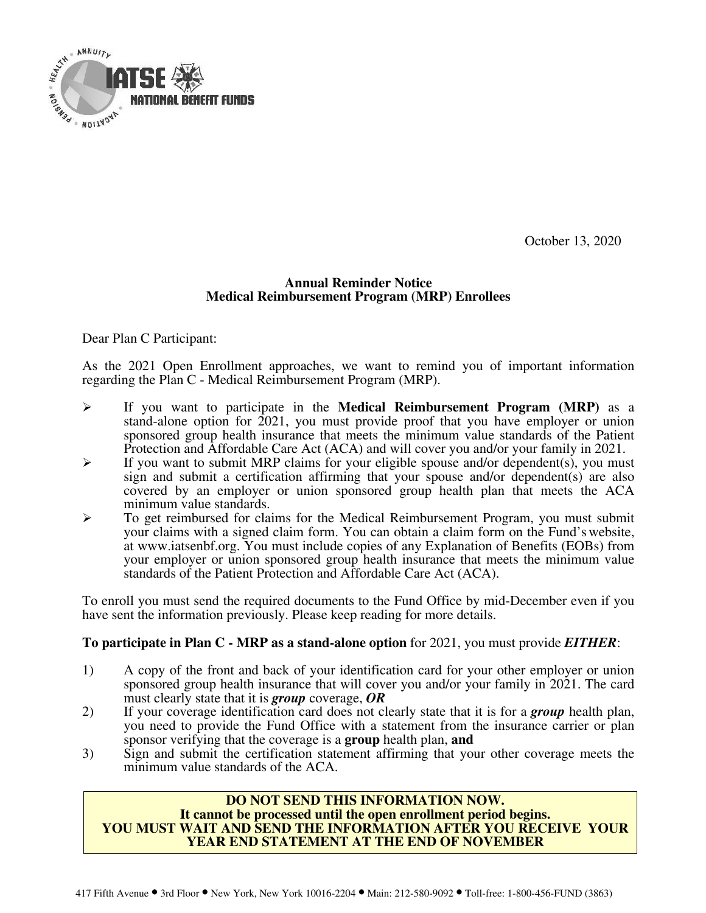

October 13, 2020

### **Annual Reminder Notice Medical Reimbursement Program (MRP) Enrollees**

Dear Plan C Participant:

As the 2021 Open Enrollment approaches, we want to remind you of important information regarding the Plan C - Medical Reimbursement Program (MRP).

- $\blacktriangleright$  If you want to participate in the **Medical Reimbursement Program (MRP)** as a stand-alone option for 2021, you must provide proof that you have employer or union sponsored group health insurance that meets the minimum value standards of the Patient Protection and Affordable Care Act (ACA) and will cover you and/or your family in 2021.
- $\blacktriangleright$  If you want to submit MRP claims for your eligible spouse and/or dependent(s), you must sign and submit a certification affirming that your spouse and/or dependent(s) are also covered by an employer or union sponsored group health plan that meets the ACA minimum value standards.
- $\triangleright$  To get reimbursed for claims for the Medical Reimbursement Program, you must submit your claims with a signed claim form. You can obtain a claim form on the Fund's website, at www.iatsenbf.org. You must include copies of any Explanation of Benefits (EOBs) from your employer or union sponsored group health insurance that meets the minimum value standards of the Patient Protection and Affordable Care Act (ACA).

To enroll you must send the required documents to the Fund Office by mid-December even if you have sent the information previously. Please keep reading for more details.

### **To participate in Plan C - MRP as a stand-alone option** for 2021, you must provide *EITHER*:

- 1) A copy of the front and back of your identification card for your other employer or union sponsored group health insurance that will cover you and/or your family in 2021. The card must clearly state that it is *group* coverage, *OR*
- 2) If your coverage identification card does not clearly state that it is for a *group* health plan, you need to provide the Fund Office with a statement from the insurance carrier or plan sponsor verifying that the coverage is a **group** health plan, **and**
- 3) Sign and submit the certification statement affirming that your other coverage meets the minimum value standards of the ACA.

#### **DO NOT SEND THIS INFORMATION NOW. It cannot be processed until the open enrollment period begins. YOU MUST WAIT AND SEND THE INFORMATION AFTER YOU RECEIVE YOUR YEAR END STATEMENT AT THE END OF NOVEMBER**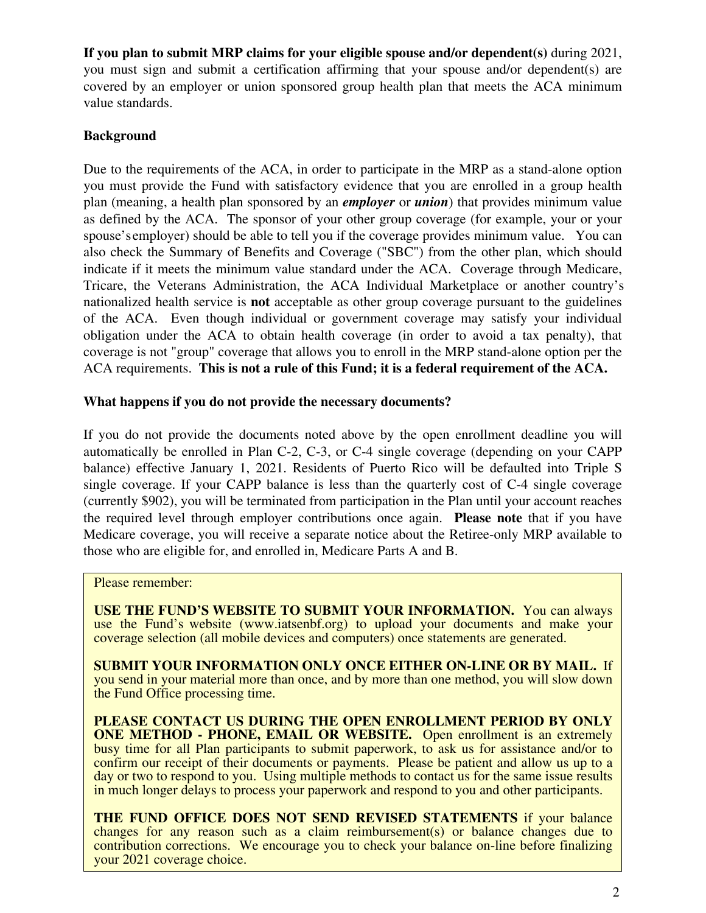**If you plan to submit MRP claims for your eligible spouse and/or dependent(s)** during 2021, you must sign and submit a certification affirming that your spouse and/or dependent(s) are covered by an employer or union sponsored group health plan that meets the ACA minimum value standards.

# **Background**

Due to the requirements of the ACA, in order to participate in the MRP as a stand-alone option you must provide the Fund with satisfactory evidence that you are enrolled in a group health plan (meaning, a health plan sponsored by an *employer* or *union*) that provides minimum value as defined by the ACA. The sponsor of your other group coverage (for example, your or your spouse's employer) should be able to tell you if the coverage provides minimum value. You can also check the Summary of Benefits and Coverage ("SBC") from the other plan, which should indicate if it meets the minimum value standard under the ACA. Coverage through Medicare, Tricare, the Veterans Administration, the ACA Individual Marketplace or another country's nationalized health service is **not** acceptable as other group coverage pursuant to the guidelines of the ACA. Even though individual or government coverage may satisfy your individual obligation under the ACA to obtain health coverage (in order to avoid a tax penalty), that coverage is not "group" coverage that allows you to enroll in the MRP stand-alone option per the ACA requirements. **This is not a rule of this Fund; it is a federal requirement of the ACA.**

## **What happens if you do not provide the necessary documents?**

If you do not provide the documents noted above by the open enrollment deadline you will automatically be enrolled in Plan C-2, C-3, or C-4 single coverage (depending on your CAPP balance) effective January 1, 2021. Residents of Puerto Rico will be defaulted into Triple S single coverage. If your CAPP balance is less than the quarterly cost of C-4 single coverage (currently \$902), you will be terminated from participation in the Plan until your account reaches the required level through employer contributions once again. **Please note** that if you have Medicare coverage, you will receive a separate notice about the Retiree-only MRP available to those who are eligible for, and enrolled in, Medicare Parts A and B.

Please remember:

**USE THE FUND'S WEBSITE TO SUBMIT YOUR INFORMATION.** You can always use the Fund's website (www.iatsenbf.org) to upload your documents and make your coverage selection (all mobile devices and computers) once statements are generated.

**SUBMIT YOUR INFORMATION ONLY ONCE EITHER ON-LINE OR BY MAIL.** If you send in your material more than once, and by more than one method, you will slow down the Fund Office processing time.

**PLEASE CONTACT US DURING THE OPEN ENROLLMENT PERIOD BY ONLY ONE METHOD - PHONE, EMAIL OR WEBSITE.** Open enrollment is an extremely busy time for all Plan participants to submit paperwork, to ask us for assistance and/or to confirm our receipt of their documents or payments. Please be patient and allow us up to a day or two to respond to you. Using multiple methods to contact us for the same issue results in much longer delays to process your paperwork and respond to you and other participants.

**THE FUND OFFICE DOES NOT SEND REVISED STATEMENTS** if your balance changes for any reason such as a claim reimbursement(s) or balance changes due to contribution corrections. We encourage you to check your balance on-line before finalizing your 2021 coverage choice.